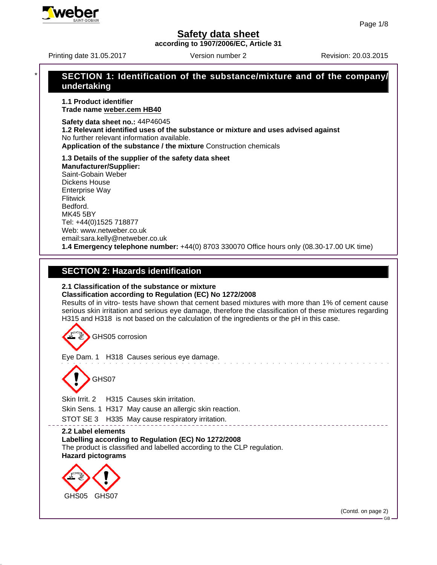**according to 1907/2006/EC, Article 31**

# Printing date 31.05.2017 **Revision: 20.03.2015** Version number 2 \* **SECTION 1: Identification of the substance/mixture and of the company/ undertaking 1.1 Product identifier Trade name weber.cem HB40 Safety data sheet no.:** 44P46045 **1.2 Relevant identified uses of the substance or mixture and uses advised against** No further relevant information available. **Application of the substance / the mixture** Construction chemicals **1.3 Details of the supplier of the safety data sheet Manufacturer/Supplier:** Saint-Gobain Weber Dickens House Enterprise Way **Flitwick** Bedford. MK45 5BY Tel: +44(0)1525 718877 Web: www.netweber.co.uk email:sara.kelly@netweber.co.uk **1.4 Emergency telephone number:** +44(0) 8703 330070 Office hours only (08.30-17.00 UK time) **SECTION 2: Hazards identification 2.1 Classification of the substance or mixture Classification according to Regulation (EC) No 1272/2008** Results of in vitro- tests have shown that cement based mixtures with more than 1% of cement cause serious skin irritation and serious eye damage, therefore the classification of these mixtures regarding H315 and H318 is not based on the calculation of the ingredients or the pH in this case. GHS05 corrosion Eye Dam. 1 H318 Causes serious eye damage. GHS07 Skin Irrit. 2 H315 Causes skin irritation. Skin Sens. 1 H317 May cause an allergic skin reaction. STOT SE 3 H335 May cause respiratory irritation. . \_ \_ \_ \_ \_ \_ \_ \_ \_ \_ \_ \_ \_ \_ \_ \_ **2.2 Label elements Labelling according to Regulation (EC) No 1272/2008** The product is classified and labelled according to the CLP regulation. **Hazard pictograms** GHS05 GHS07 (Contd. on page 2)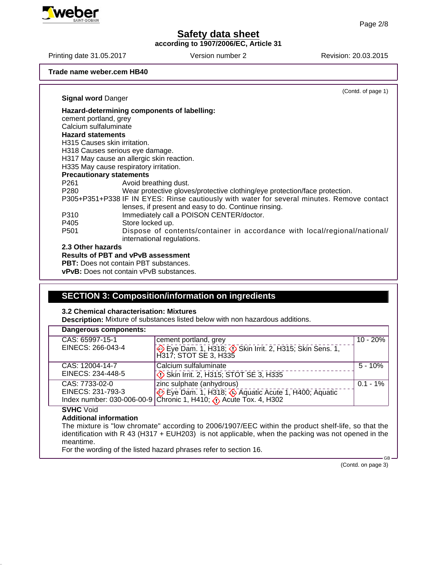**according to 1907/2006/EC, Article 31**

Printing date 31.05.2017 Version number 2 Revision: 20.03.2015

**Trade name weber.cem HB40**

|                           | (Contd. of page 1)                                                                         |
|---------------------------|--------------------------------------------------------------------------------------------|
| <b>Signal word Danger</b> |                                                                                            |
|                           | Hazard-determining components of labelling:                                                |
| cement portland, grey     |                                                                                            |
| Calcium sulfaluminate     |                                                                                            |
| <b>Hazard statements</b>  |                                                                                            |
|                           | H315 Causes skin irritation.                                                               |
|                           | H318 Causes serious eye damage.                                                            |
|                           | H317 May cause an allergic skin reaction.                                                  |
|                           | H335 May cause respiratory irritation.                                                     |
|                           | <b>Precautionary statements</b>                                                            |
| P261                      | Avoid breathing dust.                                                                      |
| P280                      | Wear protective gloves/protective clothing/eye protection/face protection.                 |
|                           | P305+P351+P338 IF IN EYES: Rinse cautiously with water for several minutes. Remove contact |
|                           | lenses, if present and easy to do. Continue rinsing.                                       |
| P310                      | Immediately call a POISON CENTER/doctor.                                                   |
| P405                      | Store locked up.                                                                           |
| P <sub>501</sub>          | Dispose of contents/container in accordance with local/regional/national/                  |
|                           | international regulations.                                                                 |
| 2.3 Other hazards         |                                                                                            |
|                           | <b>Results of PBT and vPvB assessment</b>                                                  |

**PBT:** Does not contain PBT substances.

**vPvB:** Does not contain vPvB substances.

### **SECTION 3: Composition/information on ingredients**

#### **3.2 Chemical characterisation: Mixtures**

**Description:** Mixture of substances listed below with non hazardous additions.

| Dangerous components:                |                                                                                                                    |             |
|--------------------------------------|--------------------------------------------------------------------------------------------------------------------|-------------|
| CAS: 65997-15-1<br>EINECS: 266-043-4 | cement portland, grey<br>Eye Dam. 1, H318; 3 Skin Irrit. 2, H315; Skin Sens. 1,<br>H317; STOT SE 3, H335           | $10 - 20%$  |
| CAS: 12004-14-7<br>EINECS: 234-448-5 | Calcium sulfaluminate<br>Skin Irrit. 2, H315; STOT SE 3, H335                                                      | $5 - 10%$   |
| CAS: 7733-02-0                       | zinc sulphate (anhydrous)<br>EINECS: 231-793-3<br>Index number: 030-006-00-9 Chronic 1, H410; 0 Acute Tox. 4, H302 | $0.1 - 1\%$ |
| CNIC                                 |                                                                                                                    |             |

**SVHC** Void

#### **Additional information**

The mixture is "low chromate" according to 2006/1907/EEC within the product shelf-life, so that the identification with R 43 (H317 + EUH203) is not applicable, when the packing was not opened in the meantime.

For the wording of the listed hazard phrases refer to section 16.

(Contd. on page 3)

GB

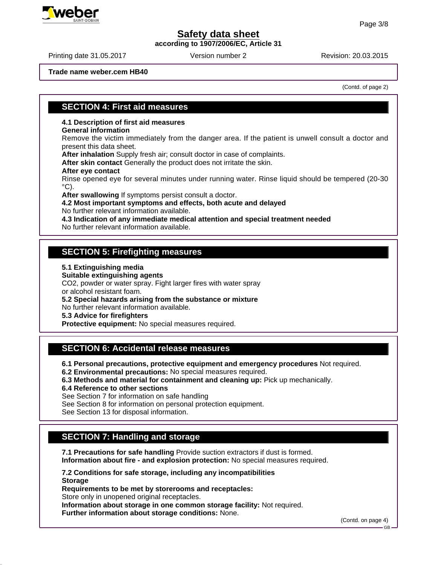**according to 1907/2006/EC, Article 31**

Printing date 31.05.2017 **Revision: 20.03.2015** Version number 2

**Trade name weber.cem HB40**

(Contd. of page 2)

#### **SECTION 4: First aid measures**

**4.1 Description of first aid measures**

#### **General information**

Remove the victim immediately from the danger area. If the patient is unwell consult a doctor and present this data sheet.

**After inhalation** Supply fresh air; consult doctor in case of complaints.

**After skin contact** Generally the product does not irritate the skin.

#### **After eye contact**

Rinse opened eye for several minutes under running water. Rinse liquid should be tempered (20-30  $\mathrm{^{\circ}C}$ ).

**After swallowing** If symptoms persist consult a doctor.

#### **4.2 Most important symptoms and effects, both acute and delayed**

No further relevant information available.

**4.3 Indication of any immediate medical attention and special treatment needed**

No further relevant information available.

### **SECTION 5: Firefighting measures**

**5.1 Extinguishing media**

**Suitable extinguishing agents**

CO2, powder or water spray. Fight larger fires with water spray or alcohol resistant foam.

**5.2 Special hazards arising from the substance or mixture**

No further relevant information available.

**5.3 Advice for firefighters**

**Protective equipment:** No special measures required.

## **SECTION 6: Accidental release measures**

**6.1 Personal precautions, protective equipment and emergency procedures** Not required.

**6.2 Environmental precautions:** No special measures required.

**6.3 Methods and material for containment and cleaning up:** Pick up mechanically.

**6.4 Reference to other sections**

See Section 7 for information on safe handling

See Section 8 for information on personal protection equipment.

See Section 13 for disposal information.

# **SECTION 7: Handling and storage**

**7.1 Precautions for safe handling** Provide suction extractors if dust is formed. **Information about fire - and explosion protection:** No special measures required.

**7.2 Conditions for safe storage, including any incompatibilities Storage**

**Requirements to be met by storerooms and receptacles:**

Store only in unopened original receptacles.

**Information about storage in one common storage facility:** Not required.

**Further information about storage conditions:** None.

(Contd. on page 4)

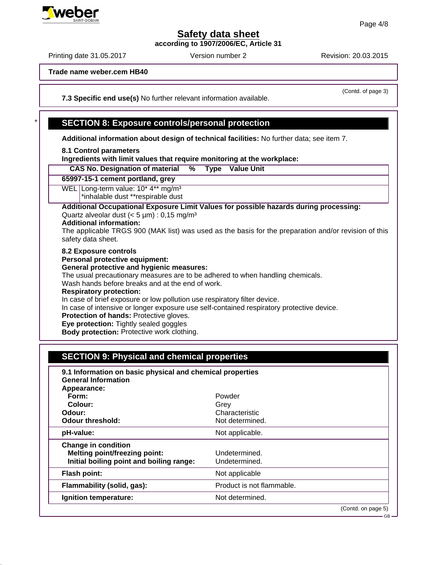**according to 1907/2006/EC, Article 31**

Printing date 31.05.2017 Version number 2 Revision: 20.03.2015

**Trade name weber.cem HB40**

**7.3 Specific end use(s)** No further relevant information available.

## \* **SECTION 8: Exposure controls/personal protection**

**Additional information about design of technical facilities:** No further data; see item 7.

#### **8.1 Control parameters**

**Ingredients with limit values that require monitoring at the workplace:**

| <b>CAS No. Designation of material</b><br><b>Value Unit</b><br>%<br>Type                                                                                                                                                                                                                                                                                                                                                                                                                                                                                                                         |  |
|--------------------------------------------------------------------------------------------------------------------------------------------------------------------------------------------------------------------------------------------------------------------------------------------------------------------------------------------------------------------------------------------------------------------------------------------------------------------------------------------------------------------------------------------------------------------------------------------------|--|
| 65997-15-1 cement portland, grey                                                                                                                                                                                                                                                                                                                                                                                                                                                                                                                                                                 |  |
| WEL Long-term value: 10* 4** mg/m <sup>3</sup><br>*inhalable dust **respirable dust                                                                                                                                                                                                                                                                                                                                                                                                                                                                                                              |  |
| Additional Occupational Exposure Limit Values for possible hazards during processing:<br>Quartz alveolar dust $(< 5 \mu m)$ : 0,15 mg/m <sup>3</sup><br><b>Additional information:</b><br>The applicable TRGS 900 (MAK list) was used as the basis for the preparation and/or revision of this<br>safety data sheet.                                                                                                                                                                                                                                                                             |  |
| 8.2 Exposure controls<br>Personal protective equipment:<br><b>General protective and hygienic measures:</b><br>The usual precautionary measures are to be adhered to when handling chemicals.<br>Wash hands before breaks and at the end of work.<br><b>Respiratory protection:</b><br>In case of brief exposure or low pollution use respiratory filter device.<br>In case of intensive or longer exposure use self-contained respiratory protective device.<br>Protection of hands: Protective gloves.<br>Eye protection: Tightly sealed goggles<br>Body protection: Protective work clothing. |  |

# **SECTION 9: Physical and chemical properties**

| 9.1 Information on basic physical and chemical properties<br><b>General Information</b><br>Appearance:         |                                                     |                    |
|----------------------------------------------------------------------------------------------------------------|-----------------------------------------------------|--------------------|
| Form:<br>Colour:<br>Odour:<br><b>Odour threshold:</b>                                                          | Powder<br>Grey<br>Characteristic<br>Not determined. |                    |
| pH-value:                                                                                                      | Not applicable.                                     |                    |
| <b>Change in condition</b><br><b>Melting point/freezing point:</b><br>Initial boiling point and boiling range: | Undetermined.<br>Undetermined.                      |                    |
| <b>Flash point:</b>                                                                                            | Not applicable                                      |                    |
| Flammability (solid, gas):                                                                                     | Product is not flammable.                           |                    |
| Ignition temperature:                                                                                          | Not determined.                                     |                    |
|                                                                                                                |                                                     | (Contd. on page 5) |



(Contd. of page 3)

GB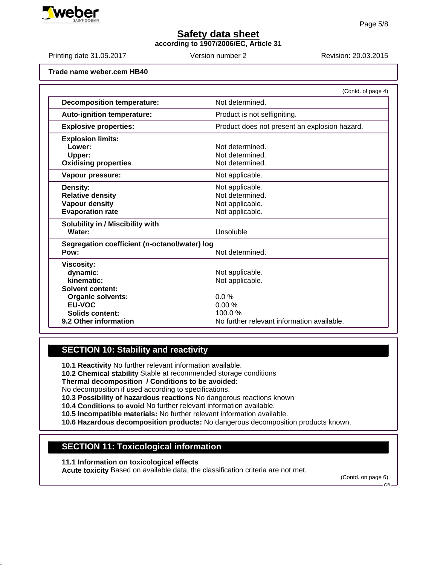**according to 1907/2006/EC, Article 31**

Printing date 31.05.2017 **Revision: 20.03.2015** Version number 2

**Trade name weber.cem HB40**

|                                               | (Contd. of page 4)                            |
|-----------------------------------------------|-----------------------------------------------|
| <b>Decomposition temperature:</b>             | Not determined.                               |
| <b>Auto-ignition temperature:</b>             | Product is not selfigniting.                  |
| <b>Explosive properties:</b>                  | Product does not present an explosion hazard. |
| <b>Explosion limits:</b>                      |                                               |
| Lower:                                        | Not determined.                               |
| Upper:                                        | Not determined.                               |
| <b>Oxidising properties</b>                   | Not determined.                               |
| Vapour pressure:                              | Not applicable.                               |
| <b>Density:</b>                               | Not applicable.                               |
| <b>Relative density</b>                       | Not determined.                               |
| <b>Vapour density</b>                         | Not applicable.                               |
| <b>Evaporation rate</b>                       | Not applicable.                               |
| Solubility in / Miscibility with              |                                               |
| Water:                                        | Unsoluble                                     |
| Segregation coefficient (n-octanol/water) log |                                               |
| Pow:                                          | Not determined.                               |
| <b>Viscosity:</b>                             |                                               |
| dynamic:                                      | Not applicable.                               |
| kinematic:                                    | Not applicable.                               |
| Solvent content:                              |                                               |
| <b>Organic solvents:</b>                      | $0.0\%$                                       |
| EU-VOC                                        | 0.00%                                         |
| Solids content:                               | 100.0%                                        |
| 9.2 Other information                         | No further relevant information available.    |

## **SECTION 10: Stability and reactivity**

**10.1 Reactivity** No further relevant information available.

**10.2 Chemical stability** Stable at recommended storage conditions

**Thermal decomposition / Conditions to be avoided:**

No decomposition if used according to specifications.

**10.3 Possibility of hazardous reactions** No dangerous reactions known

**10.4 Conditions to avoid** No further relevant information available.

**10.5 Incompatible materials:** No further relevant information available.

**10.6 Hazardous decomposition products:** No dangerous decomposition products known.

## **SECTION 11: Toxicological information**

**11.1 Information on toxicological effects**

**Acute toxicity** Based on available data, the classification criteria are not met.

(Contd. on page 6)



GB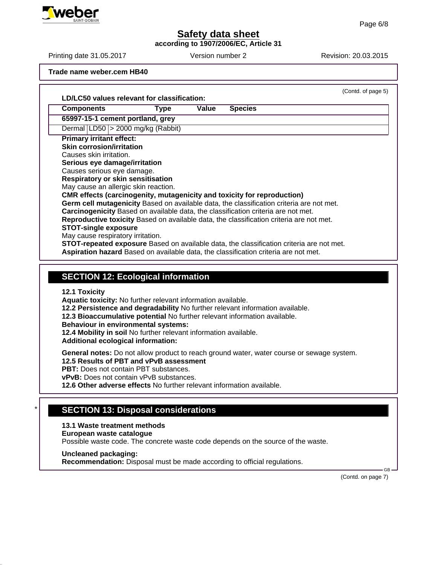**according to 1907/2006/EC, Article 31**

**Trade name weber.cem HB40**

| LD/LC50 values relevant for classification:                                                                                                                                                                                                                                                                                                                                                                                                                                                                                                                                                                                                                                                                     |             |       |                | (Contd. of page 5) |
|-----------------------------------------------------------------------------------------------------------------------------------------------------------------------------------------------------------------------------------------------------------------------------------------------------------------------------------------------------------------------------------------------------------------------------------------------------------------------------------------------------------------------------------------------------------------------------------------------------------------------------------------------------------------------------------------------------------------|-------------|-------|----------------|--------------------|
| <b>Components</b>                                                                                                                                                                                                                                                                                                                                                                                                                                                                                                                                                                                                                                                                                               | <b>Type</b> | Value | <b>Species</b> |                    |
| 65997-15-1 cement portland, grey                                                                                                                                                                                                                                                                                                                                                                                                                                                                                                                                                                                                                                                                                |             |       |                |                    |
| Dermal LD50 > 2000 mg/kg (Rabbit)                                                                                                                                                                                                                                                                                                                                                                                                                                                                                                                                                                                                                                                                               |             |       |                |                    |
| <b>Primary irritant effect:</b>                                                                                                                                                                                                                                                                                                                                                                                                                                                                                                                                                                                                                                                                                 |             |       |                |                    |
| <b>Skin corrosion/irritation</b>                                                                                                                                                                                                                                                                                                                                                                                                                                                                                                                                                                                                                                                                                |             |       |                |                    |
| Causes skin irritation.                                                                                                                                                                                                                                                                                                                                                                                                                                                                                                                                                                                                                                                                                         |             |       |                |                    |
| Serious eye damage/irritation                                                                                                                                                                                                                                                                                                                                                                                                                                                                                                                                                                                                                                                                                   |             |       |                |                    |
| Causes serious eye damage.                                                                                                                                                                                                                                                                                                                                                                                                                                                                                                                                                                                                                                                                                      |             |       |                |                    |
| <b>Respiratory or skin sensitisation</b><br>May cause an allergic skin reaction.                                                                                                                                                                                                                                                                                                                                                                                                                                                                                                                                                                                                                                |             |       |                |                    |
| CMR effects (carcinogenity, mutagenicity and toxicity for reproduction)                                                                                                                                                                                                                                                                                                                                                                                                                                                                                                                                                                                                                                         |             |       |                |                    |
| Germ cell mutagenicity Based on available data, the classification criteria are not met.                                                                                                                                                                                                                                                                                                                                                                                                                                                                                                                                                                                                                        |             |       |                |                    |
| Carcinogenicity Based on available data, the classification criteria are not met.                                                                                                                                                                                                                                                                                                                                                                                                                                                                                                                                                                                                                               |             |       |                |                    |
| Reproductive toxicity Based on available data, the classification criteria are not met.                                                                                                                                                                                                                                                                                                                                                                                                                                                                                                                                                                                                                         |             |       |                |                    |
| <b>STOT-single exposure</b>                                                                                                                                                                                                                                                                                                                                                                                                                                                                                                                                                                                                                                                                                     |             |       |                |                    |
| May cause respiratory irritation.                                                                                                                                                                                                                                                                                                                                                                                                                                                                                                                                                                                                                                                                               |             |       |                |                    |
| <b>STOT-repeated exposure</b> Based on available data, the classification criteria are not met.                                                                                                                                                                                                                                                                                                                                                                                                                                                                                                                                                                                                                 |             |       |                |                    |
| Aspiration hazard Based on available data, the classification criteria are not met.                                                                                                                                                                                                                                                                                                                                                                                                                                                                                                                                                                                                                             |             |       |                |                    |
| <b>SECTION 12: Ecological information</b>                                                                                                                                                                                                                                                                                                                                                                                                                                                                                                                                                                                                                                                                       |             |       |                |                    |
| <b>12.1 Toxicity</b><br>Aquatic toxicity: No further relevant information available.<br>12.2 Persistence and degradability No further relevant information available.<br>12.3 Bioaccumulative potential No further relevant information available.<br><b>Behaviour in environmental systems:</b><br>12.4 Mobility in soil No further relevant information available.<br>Additional ecological information:<br>General notes: Do not allow product to reach ground water, water course or sewage system.<br>12.5 Results of PBT and vPvB assessment<br>PBT: Does not contain PBT substances.<br>vPvB: Does not contain vPvB substances.<br>12.6 Other adverse effects No further relevant information available. |             |       |                |                    |
|                                                                                                                                                                                                                                                                                                                                                                                                                                                                                                                                                                                                                                                                                                                 |             |       |                |                    |
| <b>SECTION 13: Disposal considerations</b>                                                                                                                                                                                                                                                                                                                                                                                                                                                                                                                                                                                                                                                                      |             |       |                |                    |
| 13.1 Waste treatment methods                                                                                                                                                                                                                                                                                                                                                                                                                                                                                                                                                                                                                                                                                    |             |       |                |                    |
| European waste catalogue                                                                                                                                                                                                                                                                                                                                                                                                                                                                                                                                                                                                                                                                                        |             |       |                |                    |
| Possible waste code. The concrete waste code depends on the source of the waste.                                                                                                                                                                                                                                                                                                                                                                                                                                                                                                                                                                                                                                |             |       |                |                    |
| <b>Uncleaned packaging:</b>                                                                                                                                                                                                                                                                                                                                                                                                                                                                                                                                                                                                                                                                                     |             |       |                |                    |

(Contd. on page 7)



Printing date 31.05.2017 Version number 2 Revision: 20.03.2015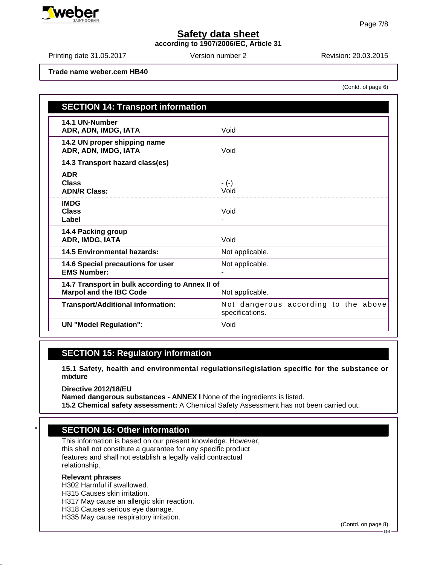**according to 1907/2006/EC, Article 31**

Printing date 31.05.2017 **Revision: 20.03.2015** Version number 2

(Contd. of page 6)

**Trade name weber.cem HB40**

| <b>SECTION 14: Transport information</b>                                          |                                                         |
|-----------------------------------------------------------------------------------|---------------------------------------------------------|
| 14.1 UN-Number<br>ADR, ADN, IMDG, IATA                                            | Void                                                    |
| 14.2 UN proper shipping name<br>ADR, ADN, IMDG, IATA                              | Void                                                    |
| 14.3 Transport hazard class(es)                                                   |                                                         |
| <b>ADR</b><br><b>Class</b><br><b>ADN/R Class:</b>                                 | $-(-)$<br>Void<br>.                                     |
| <b>IMDG</b><br><b>Class</b><br>Label                                              | Void                                                    |
| 14.4 Packing group<br>ADR, IMDG, IATA                                             | Void                                                    |
| <b>14.5 Environmental hazards:</b>                                                | Not applicable.                                         |
| 14.6 Special precautions for user<br><b>EMS Number:</b>                           | Not applicable.                                         |
| 14.7 Transport in bulk according to Annex II of<br><b>Marpol and the IBC Code</b> | Not applicable.                                         |
| <b>Transport/Additional information:</b>                                          | Not dangerous according to the above<br>specifications. |
| <b>UN "Model Regulation":</b>                                                     | Void                                                    |

## **SECTION 15: Regulatory information**

**15.1 Safety, health and environmental regulations/legislation specific for the substance or mixture**

**Directive 2012/18/EU Named dangerous substances - ANNEX I** None of the ingredients is listed. **15.2 Chemical safety assessment:** A Chemical Safety Assessment has not been carried out.

## **SECTION 16: Other information**

This information is based on our present knowledge. However, this shall not constitute a guarantee for any specific product features and shall not establish a legally valid contractual relationship.

#### **Relevant phrases**

H302 Harmful if swallowed. H315 Causes skin irritation. H317 May cause an allergic skin reaction. H318 Causes serious eye damage. H335 May cause respiratory irritation.

(Contd. on page 8)



GB